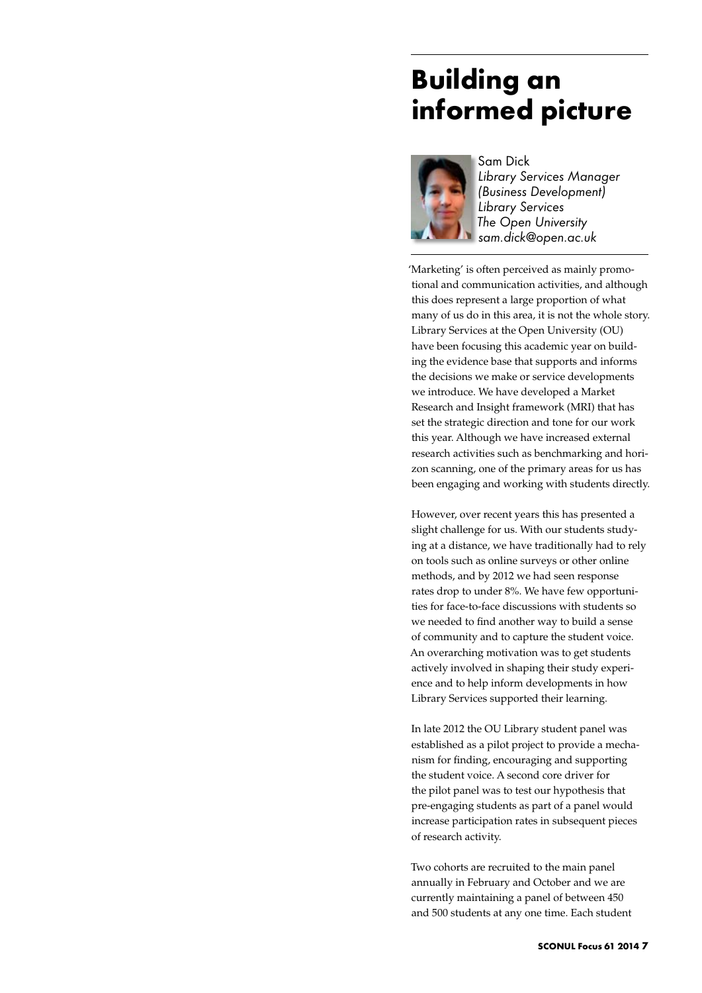## **Building an informed picture**



Sam Dick *Library Services Manager (Business Development) Library Services The Open University sam.dick@open.ac.uk*

'Marketing' is often perceived as mainly promotional and communication activities, and although this does represent a large proportion of what many of us do in this area, it is not the whole story. Library Services at the Open University (OU) have been focusing this academic year on building the evidence base that supports and informs the decisions we make or service developments we introduce. We have developed a Market Research and Insight framework (MRI) that has set the strategic direction and tone for our work this year. Although we have increased external research activities such as benchmarking and horizon scanning, one of the primary areas for us has been engaging and working with students directly.

However, over recent years this has presented a slight challenge for us. With our students studying at a distance, we have traditionally had to rely on tools such as online surveys or other online methods, and by 2012 we had seen response rates drop to under 8%. We have few opportunities for face-to-face discussions with students so we needed to find another way to build a sense of community and to capture the student voice. An overarching motivation was to get students actively involved in shaping their study experience and to help inform developments in how Library Services supported their learning.

In late 2012 the OU Library student panel was established as a pilot project to provide a mechanism for finding, encouraging and supporting the student voice. A second core driver for the pilot panel was to test our hypothesis that pre-engaging students as part of a panel would increase participation rates in subsequent pieces of research activity.

Two cohorts are recruited to the main panel annually in February and October and we are currently maintaining a panel of between 450 and 500 students at any one time. Each student